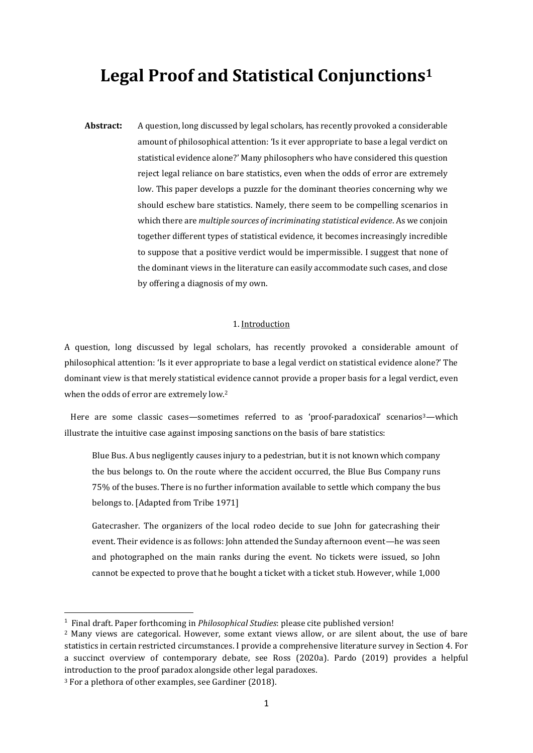# **Legal Proof and Statistical Conjunctions<sup>1</sup>**

**Abstract:** A question, long discussed by legal scholars, has recently provoked a considerable amount of philosophical attention: 'Is it ever appropriate to base a legal verdict on statistical evidence alone?' Many philosophers who have considered this question reject legal reliance on bare statistics, even when the odds of error are extremely low. This paper develops a puzzle for the dominant theories concerning why we should eschew bare statistics. Namely, there seem to be compelling scenarios in which there are *multiple sources of incriminating statistical evidence*. As we conjoin together different types of statistical evidence, it becomes increasingly incredible to suppose that a positive verdict would be impermissible. I suggest that none of the dominant views in the literature can easily accommodate such cases, and close by offering a diagnosis of my own.

### 1. Introduction

A question, long discussed by legal scholars, has recently provoked a considerable amount of philosophical attention: 'Is it ever appropriate to base a legal verdict on statistical evidence alone?' The dominant view is that merely statistical evidence cannot provide a proper basis for a legal verdict, even when the odds of error are extremely low.<sup>2</sup>

Here are some classic cases—sometimes referred to as 'proof-paradoxical' scenarios<sup>3</sup>—which illustrate the intuitive case against imposing sanctions on the basis of bare statistics:

Blue Bus. A bus negligently causes injury to a pedestrian, but it is not known which company the bus belongs to. On the route where the accident occurred, the Blue Bus Company runs 75% of the buses. There is no further information available to settle which company the bus belongs to. [Adapted from Tribe 1971]

Gatecrasher. The organizers of the local rodeo decide to sue John for gatecrashing their event. Their evidence is as follows: John attended the Sunday afternoon event—he was seen and photographed on the main ranks during the event. No tickets were issued, so John cannot be expected to prove that he bought a ticket with a ticket stub. However, while 1,000

<sup>1</sup> Final draft. Paper forthcoming in *Philosophical Studies*: please cite published version!

<sup>2</sup> Many views are categorical. However, some extant views allow, or are silent about, the use of bare statistics in certain restricted circumstances. I provide a comprehensive literature survey in Section 4. For a succinct overview of contemporary debate, see Ross (2020a). Pardo (2019) provides a helpful introduction to the proof paradox alongside other legal paradoxes.

<sup>3</sup> For a plethora of other examples, see Gardiner (2018).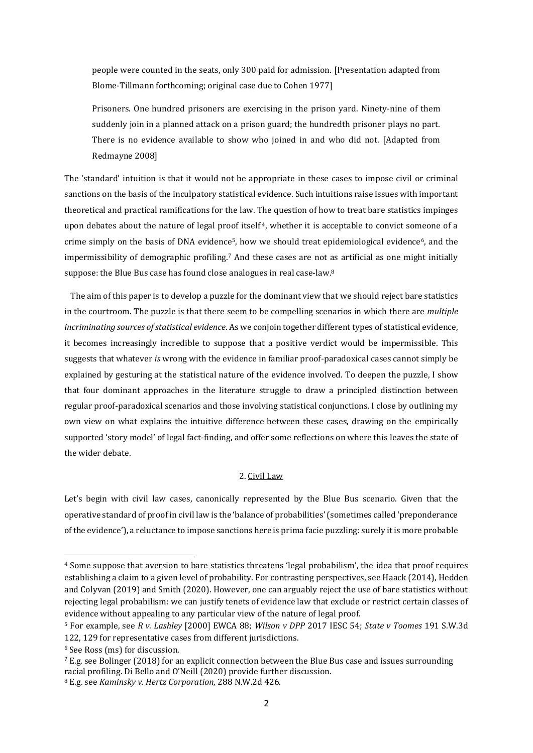people were counted in the seats, only 300 paid for admission. [Presentation adapted from Blome-Tillmann forthcoming; original case due to Cohen 1977]

Prisoners. One hundred prisoners are exercising in the prison yard. Ninety-nine of them suddenly join in a planned attack on a prison guard; the hundredth prisoner plays no part. There is no evidence available to show who joined in and who did not. [Adapted from Redmayne 2008]

The 'standard' intuition is that it would not be appropriate in these cases to impose civil or criminal sanctions on the basis of the inculpatory statistical evidence. Such intuitions raise issues with important theoretical and practical ramifications for the law. The question of how to treat bare statistics impinges upon debates about the nature of legal proof itself <sup>4</sup>, whether it is acceptable to convict someone of a crime simply on the basis of DNA evidence<sup>5</sup>, how we should treat epidemiological evidence<sup>6</sup>, and the impermissibility of demographic profiling.<sup>7</sup> And these cases are not as artificial as one might initially suppose: the Blue Bus case has found close analogues in real case-law.<sup>8</sup>

The aim of this paper is to develop a puzzle for the dominant view that we should reject bare statistics in the courtroom. The puzzle is that there seem to be compelling scenarios in which there are *multiple incriminating sources of statistical evidence*. As we conjoin together different types of statistical evidence, it becomes increasingly incredible to suppose that a positive verdict would be impermissible. This suggests that whatever *is* wrong with the evidence in familiar proof-paradoxical cases cannot simply be explained by gesturing at the statistical nature of the evidence involved. To deepen the puzzle, I show that four dominant approaches in the literature struggle to draw a principled distinction between regular proof-paradoxical scenarios and those involving statistical conjunctions. I close by outlining my own view on what explains the intuitive difference between these cases, drawing on the empirically supported 'story model' of legal fact-finding, and offer some reflections on where this leaves the state of the wider debate.

# 2. Civil Law

Let's begin with civil law cases, canonically represented by the Blue Bus scenario. Given that the operative standard of proof in civil law is the 'balance of probabilities' (sometimes called 'preponderance of the evidence'), a reluctance to impose sanctions here is prima facie puzzling: surely it is more probable

<sup>4</sup> Some suppose that aversion to bare statistics threatens 'legal probabilism', the idea that proof requires establishing a claim to a given level of probability. For contrasting perspectives, see Haack (2014), Hedden and Colyvan (2019) and Smith (2020). However, one can arguably reject the use of bare statistics without rejecting legal probabilism: we can justify tenets of evidence law that exclude or restrict certain classes of evidence without appealing to any particular view of the nature of legal proof.

<sup>5</sup> For example, see *R v. Lashley* [2000] EWCA 88; *Wilson v DPP* 2017 IESC 54; *State v Toomes* 191 S.W.3d 122, 129 for representative cases from different jurisdictions.

<sup>6</sup> See Ross (ms) for discussion.

 $^7$  E.g. see Bolinger (2018) for an explicit connection between the Blue Bus case and issues surrounding racial profiling. Di Bello and O'Neill (2020) provide further discussion.

<sup>8</sup> E.g. see *Kaminsky v. Hertz Corporation*, 288 N.W.2d 426.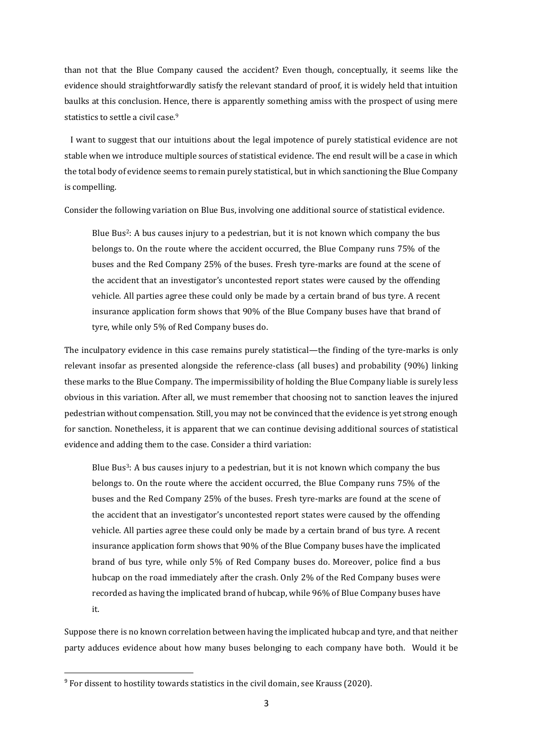than not that the Blue Company caused the accident? Even though, conceptually, it seems like the evidence should straightforwardly satisfy the relevant standard of proof, it is widely held that intuition baulks at this conclusion. Hence, there is apparently something amiss with the prospect of using mere statistics to settle a civil case.<sup>9</sup>

I want to suggest that our intuitions about the legal impotence of purely statistical evidence are not stable when we introduce multiple sources of statistical evidence. The end result will be a case in which the total body of evidence seems to remain purely statistical, but in which sanctioning the Blue Company is compelling.

Consider the following variation on Blue Bus, involving one additional source of statistical evidence.

Blue Bus2: A bus causes injury to a pedestrian, but it is not known which company the bus belongs to. On the route where the accident occurred, the Blue Company runs 75% of the buses and the Red Company 25% of the buses. Fresh tyre-marks are found at the scene of the accident that an investigator's uncontested report states were caused by the offending vehicle. All parties agree these could only be made by a certain brand of bus tyre. A recent insurance application form shows that 90% of the Blue Company buses have that brand of tyre, while only 5% of Red Company buses do.

The inculpatory evidence in this case remains purely statistical—the finding of the tyre-marks is only relevant insofar as presented alongside the reference-class (all buses) and probability (90%) linking these marks to the Blue Company. The impermissibility of holding the Blue Company liable is surely less obvious in this variation. After all, we must remember that choosing not to sanction leaves the injured pedestrian without compensation. Still, you may not be convinced that the evidence is yet strong enough for sanction. Nonetheless, it is apparent that we can continue devising additional sources of statistical evidence and adding them to the case. Consider a third variation:

Blue Bus3: A bus causes injury to a pedestrian, but it is not known which company the bus belongs to. On the route where the accident occurred, the Blue Company runs 75% of the buses and the Red Company 25% of the buses. Fresh tyre-marks are found at the scene of the accident that an investigator's uncontested report states were caused by the offending vehicle. All parties agree these could only be made by a certain brand of bus tyre. A recent insurance application form shows that 90% of the Blue Company buses have the implicated brand of bus tyre, while only 5% of Red Company buses do. Moreover, police find a bus hubcap on the road immediately after the crash. Only 2% of the Red Company buses were recorded as having the implicated brand of hubcap, while 96% of Blue Company buses have it.

Suppose there is no known correlation between having the implicated hubcap and tyre, and that neither party adduces evidence about how many buses belonging to each company have both. Would it be

<sup>9</sup> For dissent to hostility towards statistics in the civil domain, see Krauss (2020).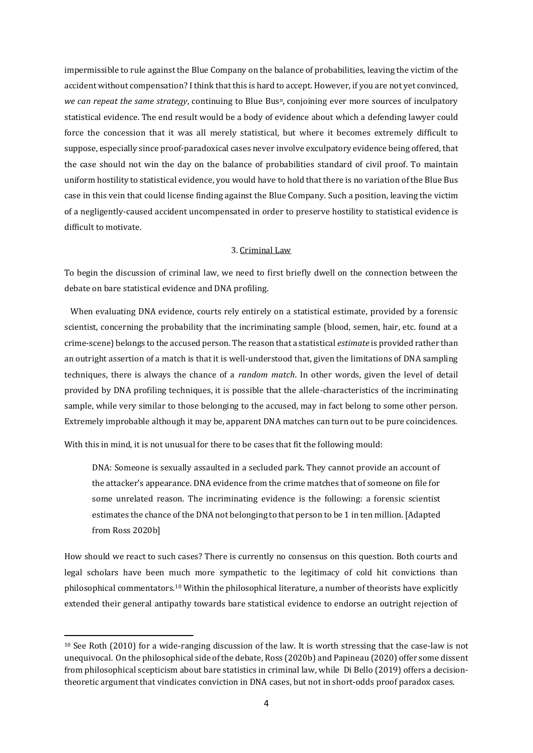impermissible to rule against the Blue Company on the balance of probabilities, leaving the victim of the accident without compensation? I think that this is hard to accept. However, if you are not yet convinced, *we can repeat the same strategy*, continuing to Blue Bus*n*, conjoining ever more sources of inculpatory statistical evidence. The end result would be a body of evidence about which a defending lawyer could force the concession that it was all merely statistical, but where it becomes extremely difficult to suppose, especially since proof-paradoxical cases never involve exculpatory evidence being offered, that the case should not win the day on the balance of probabilities standard of civil proof. To maintain uniform hostility to statistical evidence, you would have to hold that there is no variation of the Blue Bus case in this vein that could license finding against the Blue Company. Such a position, leaving the victim of a negligently-caused accident uncompensated in order to preserve hostility to statistical evidence is difficult to motivate.

## 3. Criminal Law

To begin the discussion of criminal law, we need to first briefly dwell on the connection between the debate on bare statistical evidence and DNA profiling.

When evaluating DNA evidence, courts rely entirely on a statistical estimate, provided by a forensic scientist, concerning the probability that the incriminating sample (blood, semen, hair, etc. found at a crime-scene) belongs to the accused person. The reason that a statistical *estimate* is provided rather than an outright assertion of a match is that it is well-understood that, given the limitations of DNA sampling techniques, there is always the chance of a *random match*. In other words, given the level of detail provided by DNA profiling techniques, it is possible that the allele-characteristics of the incriminating sample, while very similar to those belonging to the accused, may in fact belong to some other person. Extremely improbable although it may be, apparent DNA matches can turn out to be pure coincidences.

With this in mind, it is not unusual for there to be cases that fit the following mould:

DNA: Someone is sexually assaulted in a secluded park. They cannot provide an account of the attacker's appearance. DNA evidence from the crime matches that of someone on file for some unrelated reason. The incriminating evidence is the following: a forensic scientist estimates the chance of the DNA not belonging to that person to be 1 in ten million. [Adapted from Ross 2020b]

How should we react to such cases? There is currently no consensus on this question. Both courts and legal scholars have been much more sympathetic to the legitimacy of cold hit convictions than philosophical commentators.<sup>10</sup> Within the philosophical literature, a number of theorists have explicitly extended their general antipathy towards bare statistical evidence to endorse an outright rejection of

<sup>10</sup> See Roth (2010) for a wide-ranging discussion of the law. It is worth stressing that the case-law is not unequivocal. On the philosophical side of the debate, Ross (2020b) and Papineau (2020) offer some dissent from philosophical scepticism about bare statistics in criminal law, while Di Bello (2019) offers a decisiontheoretic argument that vindicates conviction in DNA cases, but not in short-odds proof paradox cases.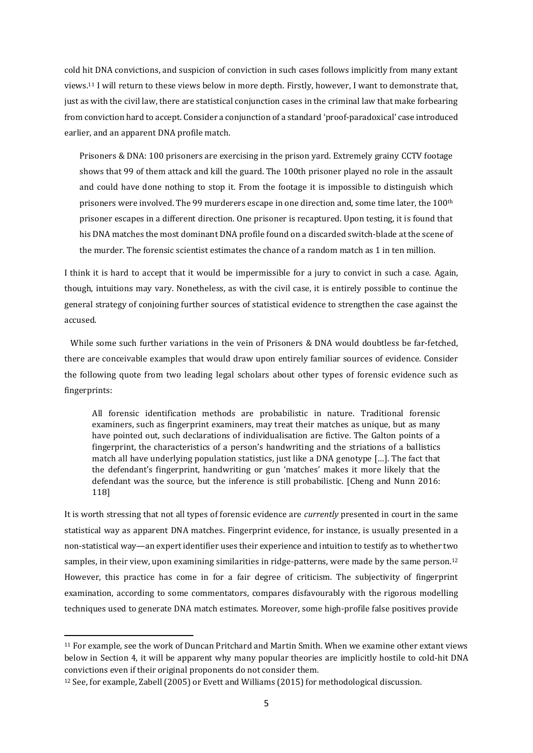cold hit DNA convictions, and suspicion of conviction in such cases follows implicitly from many extant views. <sup>11</sup> I will return to these views below in more depth. Firstly, however, I want to demonstrate that, just as with the civil law, there are statistical conjunction cases in the criminal law that make forbearing from conviction hard to accept. Consider a conjunction of a standard 'proof-paradoxical' case introduced earlier, and an apparent DNA profile match.

Prisoners & DNA: 100 prisoners are exercising in the prison yard. Extremely grainy CCTV footage shows that 99 of them attack and kill the guard. The 100th prisoner played no role in the assault and could have done nothing to stop it. From the footage it is impossible to distinguish which prisoners were involved. The 99 murderers escape in one direction and, some time later, the  $100<sup>th</sup>$ prisoner escapes in a different direction. One prisoner is recaptured. Upon testing, it is found that his DNA matches the most dominant DNA profile found on a discarded switch-blade at the scene of the murder. The forensic scientist estimates the chance of a random match as 1 in ten million.

I think it is hard to accept that it would be impermissible for a jury to convict in such a case. Again, though, intuitions may vary. Nonetheless, as with the civil case, it is entirely possible to continue the general strategy of conjoining further sources of statistical evidence to strengthen the case against the accused.

While some such further variations in the vein of Prisoners & DNA would doubtless be far-fetched, there are conceivable examples that would draw upon entirely familiar sources of evidence. Consider the following quote from two leading legal scholars about other types of forensic evidence such as fingerprints:

All forensic identification methods are probabilistic in nature. Traditional forensic examiners, such as fingerprint examiners, may treat their matches as unique, but as many have pointed out, such declarations of individualisation are fictive. The Galton points of a fingerprint, the characteristics of a person's handwriting and the striations of a ballistics match all have underlying population statistics, just like a DNA genotype […]. The fact that the defendant's fingerprint, handwriting or gun 'matches' makes it more likely that the defendant was the source, but the inference is still probabilistic. [Cheng and Nunn 2016: 118]

It is worth stressing that not all types of forensic evidence are *currently* presented in court in the same statistical way as apparent DNA matches. Fingerprint evidence, for instance, is usually presented in a non-statistical way—an expert identifier uses their experience and intuition to testify as to whether two samples, in their view, upon examining similarities in ridge-patterns, were made by the same person.<sup>12</sup> However, this practice has come in for a fair degree of criticism. The subjectivity of fingerprint examination, according to some commentators, compares disfavourably with the rigorous modelling techniques used to generate DNA match estimates. Moreover, some high-profile false positives provide

<sup>11</sup> For example, see the work of Duncan Pritchard and Martin Smith. When we examine other extant views below in Section 4, it will be apparent why many popular theories are implicitly hostile to cold-hit DNA convictions even if their original proponents do not consider them.

<sup>12</sup> See, for example, Zabell (2005) or Evett and Williams (2015) for methodological discussion.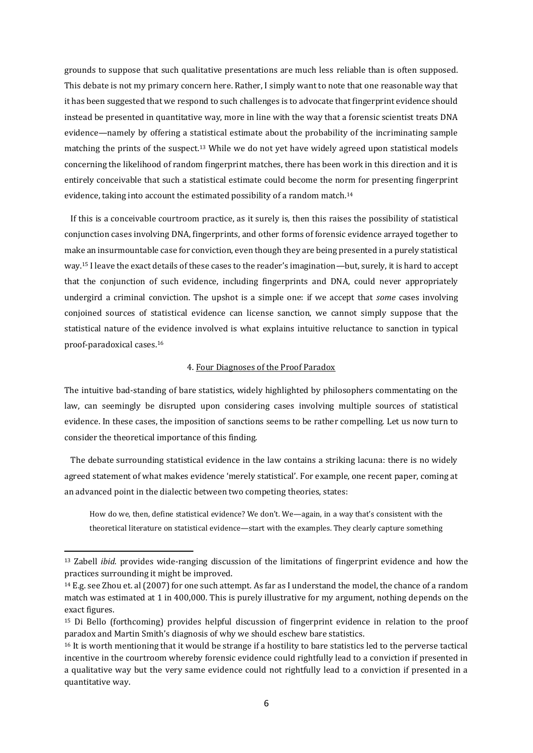grounds to suppose that such qualitative presentations are much less reliable than is often supposed. This debate is not my primary concern here. Rather, I simply want to note that one reasonable way that it has been suggested that we respond to such challenges is to advocate that fingerprint evidence should instead be presented in quantitative way, more in line with the way that a forensic scientist treats DNA evidence—namely by offering a statistical estimate about the probability of the incriminating sample matching the prints of the suspect.<sup>13</sup> While we do not yet have widely agreed upon statistical models concerning the likelihood of random fingerprint matches, there has been work in this direction and it is entirely conceivable that such a statistical estimate could become the norm for presenting fingerprint evidence, taking into account the estimated possibility of a random match.<sup>14</sup>

If this is a conceivable courtroom practice, as it surely is, then this raises the possibility of statistical conjunction cases involving DNA, fingerprints, and other forms of forensic evidence arrayed together to make an insurmountable case for conviction, even though they are being presented in a purely statistical way.<sup>15</sup> I leave the exact details of these cases to the reader's imagination—but, surely, it is hard to accept that the conjunction of such evidence, including fingerprints and DNA, could never appropriately undergird a criminal conviction. The upshot is a simple one: if we accept that *some* cases involving conjoined sources of statistical evidence can license sanction, we cannot simply suppose that the statistical nature of the evidence involved is what explains intuitive reluctance to sanction in typical proof-paradoxical cases.<sup>16</sup>

## 4. Four Diagnoses of the Proof Paradox

The intuitive bad-standing of bare statistics, widely highlighted by philosophers commentating on the law, can seemingly be disrupted upon considering cases involving multiple sources of statistical evidence. In these cases, the imposition of sanctions seems to be rather compelling. Let us now turn to consider the theoretical importance of this finding.

The debate surrounding statistical evidence in the law contains a striking lacuna: there is no widely agreed statement of what makes evidence 'merely statistical'. For example, one recent paper, coming at an advanced point in the dialectic between two competing theories, states:

How do we, then, define statistical evidence? We don't. We—again, in a way that's consistent with the theoretical literature on statistical evidence—start with the examples. They clearly capture something

<sup>13</sup> Zabell *ibid.* provides wide-ranging discussion of the limitations of fingerprint evidence and how the practices surrounding it might be improved.

<sup>14</sup> E.g. see Zhou et. al (2007) for one such attempt. As far as I understand the model, the chance of a random match was estimated at 1 in 400,000. This is purely illustrative for my argument, nothing depends on the exact figures.

<sup>15</sup> Di Bello (forthcoming) provides helpful discussion of fingerprint evidence in relation to the proof paradox and Martin Smith's diagnosis of why we should eschew bare statistics.

<sup>&</sup>lt;sup>16</sup> It is worth mentioning that it would be strange if a hostility to bare statistics led to the perverse tactical incentive in the courtroom whereby forensic evidence could rightfully lead to a conviction if presented in a qualitative way but the very same evidence could not rightfully lead to a conviction if presented in a quantitative way.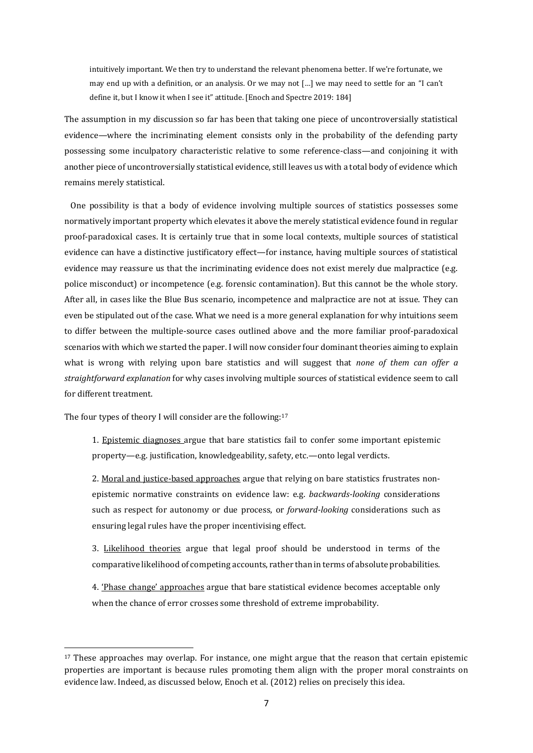intuitively important. We then try to understand the relevant phenomena better. If we're fortunate, we may end up with a definition, or an analysis. Or we may not […] we may need to settle for an "I can't define it, but I know it when I see it" attitude. [Enoch and Spectre 2019: 184]

The assumption in my discussion so far has been that taking one piece of uncontroversially statistical evidence—where the incriminating element consists only in the probability of the defending party possessing some inculpatory characteristic relative to some reference-class—and conjoining it with another piece of uncontroversially statistical evidence, still leaves us with a total body of evidence which remains merely statistical.

One possibility is that a body of evidence involving multiple sources of statistics possesses some normatively important property which elevates it above the merely statistical evidence found in regular proof-paradoxical cases. It is certainly true that in some local contexts, multiple sources of statistical evidence can have a distinctive justificatory effect—for instance, having multiple sources of statistical evidence may reassure us that the incriminating evidence does not exist merely due malpractice (e.g. police misconduct) or incompetence (e.g. forensic contamination). But this cannot be the whole story. After all, in cases like the Blue Bus scenario, incompetence and malpractice are not at issue. They can even be stipulated out of the case. What we need is a more general explanation for why intuitions seem to differ between the multiple-source cases outlined above and the more familiar proof-paradoxical scenarios with which we started the paper. I will now consider four dominant theories aiming to explain what is wrong with relying upon bare statistics and will suggest that *none of them can offer a straightforward explanation* for why cases involving multiple sources of statistical evidence seem to call for different treatment.

The four types of theory I will consider are the following:<sup>17</sup>

1. Epistemic diagnoses argue that bare statistics fail to confer some important epistemic property—e.g. justification, knowledgeability, safety, etc.—onto legal verdicts.

2. Moral and justice-based approaches argue that relying on bare statistics frustrates nonepistemic normative constraints on evidence law: e.g. *backwards-looking* considerations such as respect for autonomy or due process, or *forward-looking* considerations such as ensuring legal rules have the proper incentivising effect.

3. Likelihood theories argue that legal proof should be understood in terms of the comparative likelihood of competing accounts, rather than in terms of absolute probabilities.

4. 'Phase change' approaches argue that bare statistical evidence becomes acceptable only when the chance of error crosses some threshold of extreme improbability.

 $17$  These approaches may overlap. For instance, one might argue that the reason that certain epistemic properties are important is because rules promoting them align with the proper moral constraints on evidence law. Indeed, as discussed below, Enoch et al. (2012) relies on precisely this idea.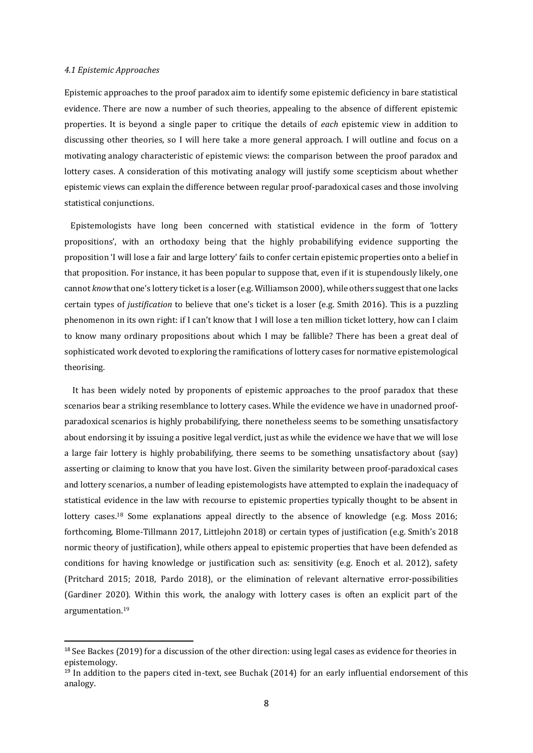#### *4.1 Epistemic Approaches*

Epistemic approaches to the proof paradox aim to identify some epistemic deficiency in bare statistical evidence. There are now a number of such theories, appealing to the absence of different epistemic properties. It is beyond a single paper to critique the details of *each* epistemic view in addition to discussing other theories, so I will here take a more general approach. I will outline and focus on a motivating analogy characteristic of epistemic views: the comparison between the proof paradox and lottery cases. A consideration of this motivating analogy will justify some scepticism about whether epistemic views can explain the difference between regular proof-paradoxical cases and those involving statistical conjunctions.

Epistemologists have long been concerned with statistical evidence in the form of 'lottery propositions', with an orthodoxy being that the highly probabilifying evidence supporting the proposition 'I will lose a fair and large lottery' fails to confer certain epistemic properties onto a belief in that proposition. For instance, it has been popular to suppose that, even if it is stupendously likely, one cannot *know* that one's lottery ticket is a loser (e.g. Williamson 2000), while others suggest that one lacks certain types of *justification* to believe that one's ticket is a loser (e.g. Smith 2016). This is a puzzling phenomenon in its own right: if I can't know that I will lose a ten million ticket lottery, how can I claim to know many ordinary propositions about which I may be fallible? There has been a great deal of sophisticated work devoted to exploring the ramifications of lottery cases for normative epistemological theorising.

It has been widely noted by proponents of epistemic approaches to the proof paradox that these scenarios bear a striking resemblance to lottery cases. While the evidence we have in unadorned proofparadoxical scenarios is highly probabilifying, there nonetheless seems to be something unsatisfactory about endorsing it by issuing a positive legal verdict, just as while the evidence we have that we will lose a large fair lottery is highly probabilifying, there seems to be something unsatisfactory about (say) asserting or claiming to know that you have lost. Given the similarity between proof-paradoxical cases and lottery scenarios, a number of leading epistemologists have attempted to explain the inadequacy of statistical evidence in the law with recourse to epistemic properties typically thought to be absent in lottery cases.<sup>18</sup> Some explanations appeal directly to the absence of knowledge (e.g. Moss 2016; forthcoming, Blome-Tillmann 2017, Littlejohn 2018) or certain types of justification (e.g. Smith's 2018 normic theory of justification), while others appeal to epistemic properties that have been defended as conditions for having knowledge or justification such as: sensitivity (e.g. Enoch et al. 2012), safety (Pritchard 2015; 2018, Pardo 2018), or the elimination of relevant alternative error-possibilities (Gardiner 2020). Within this work, the analogy with lottery cases is often an explicit part of the argumentation.<sup>19</sup>

 $18$  See Backes (2019) for a discussion of the other direction: using legal cases as evidence for theories in epistemology.

 $19$  In addition to the papers cited in-text, see Buchak (2014) for an early influential endorsement of this analogy.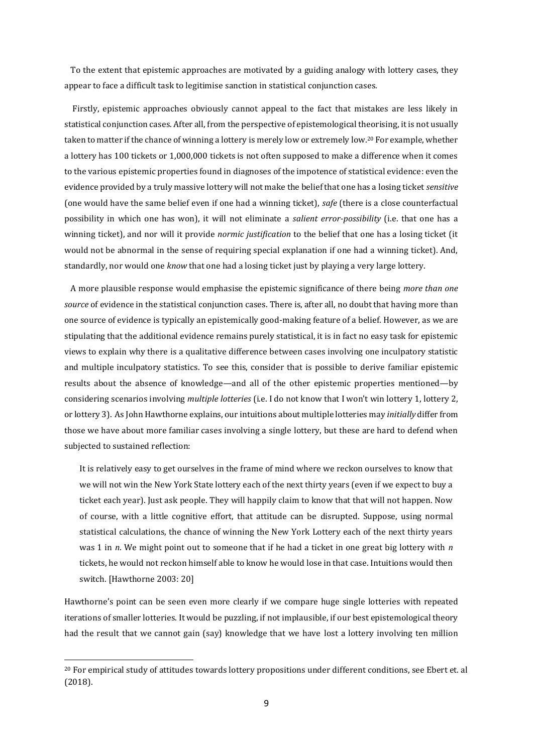To the extent that epistemic approaches are motivated by a guiding analogy with lottery cases, they appear to face a difficult task to legitimise sanction in statistical conjunction cases.

Firstly, epistemic approaches obviously cannot appeal to the fact that mistakes are less likely in statistical conjunction cases. After all, from the perspective of epistemological theorising, it is not usually taken to matter if the chance of winning a lottery is merely low or extremely low.<sup>20</sup> For example, whether a lottery has 100 tickets or 1,000,000 tickets is not often supposed to make a difference when it comes to the various epistemic properties found in diagnoses of the impotence of statistical evidence: even the evidence provided by a truly massive lottery will not make the belief that one has a losing ticket *sensitive* (one would have the same belief even if one had a winning ticket), *safe* (there is a close counterfactual possibility in which one has won), it will not eliminate a *salient error-possibility* (i.e. that one has a winning ticket), and nor will it provide *normic justification* to the belief that one has a losing ticket (it would not be abnormal in the sense of requiring special explanation if one had a winning ticket). And, standardly, nor would one *know* that one had a losing ticket just by playing a very large lottery.

A more plausible response would emphasise the epistemic significance of there being *more than one source* of evidence in the statistical conjunction cases. There is, after all, no doubt that having more than one source of evidence is typically an epistemically good-making feature of a belief. However, as we are stipulating that the additional evidence remains purely statistical, it is in fact no easy task for epistemic views to explain why there is a qualitative difference between cases involving one inculpatory statistic and multiple inculpatory statistics. To see this, consider that is possible to derive familiar epistemic results about the absence of knowledge—and all of the other epistemic properties mentioned—by considering scenarios involving *multiple lotteries* (i.e. I do not know that I won't win lottery 1, lottery 2, or lottery 3). As John Hawthorne explains, our intuitions about multiple lotteries may *initially* differ from those we have about more familiar cases involving a single lottery, but these are hard to defend when subjected to sustained reflection:

It is relatively easy to get ourselves in the frame of mind where we reckon ourselves to know that we will not win the New York State lottery each of the next thirty years (even if we expect to buy a ticket each year). Just ask people. They will happily claim to know that that will not happen. Now of course, with a little cognitive effort, that attitude can be disrupted. Suppose, using normal statistical calculations, the chance of winning the New York Lottery each of the next thirty years was 1 in *n*. We might point out to someone that if he had a ticket in one great big lottery with *n*  tickets, he would not reckon himself able to know he would lose in that case. Intuitions would then switch. [Hawthorne 2003: 20]

Hawthorne's point can be seen even more clearly if we compare huge single lotteries with repeated iterations of smaller lotteries. It would be puzzling, if not implausible, if our best epistemological theory had the result that we cannot gain (say) knowledge that we have lost a lottery involving ten million

<sup>20</sup> For empirical study of attitudes towards lottery propositions under different conditions, see Ebert et. al (2018).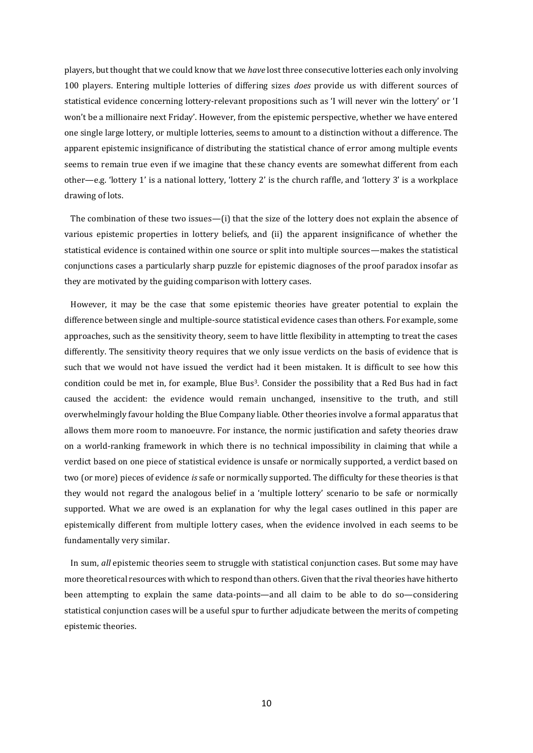players, but thought that we could know that we *have* lost three consecutive lotteries each only involving 100 players. Entering multiple lotteries of differing sizes *does* provide us with different sources of statistical evidence concerning lottery-relevant propositions such as 'I will never win the lottery' or 'I won't be a millionaire next Friday'. However, from the epistemic perspective, whether we have entered one single large lottery, or multiple lotteries, seems to amount to a distinction without a difference. The apparent epistemic insignificance of distributing the statistical chance of error among multiple events seems to remain true even if we imagine that these chancy events are somewhat different from each other—e.g. 'lottery 1' is a national lottery, 'lottery 2' is the church raffle, and 'lottery 3' is a workplace drawing of lots.

The combination of these two issues—(i) that the size of the lottery does not explain the absence of various epistemic properties in lottery beliefs, and (ii) the apparent insignificance of whether the statistical evidence is contained within one source or split into multiple sources—makes the statistical conjunctions cases a particularly sharp puzzle for epistemic diagnoses of the proof paradox insofar as they are motivated by the guiding comparison with lottery cases.

However, it may be the case that some epistemic theories have greater potential to explain the difference between single and multiple-source statistical evidence cases than others. For example, some approaches, such as the sensitivity theory, seem to have little flexibility in attempting to treat the cases differently. The sensitivity theory requires that we only issue verdicts on the basis of evidence that is such that we would not have issued the verdict had it been mistaken. It is difficult to see how this condition could be met in, for example, Blue Bus<sup>3</sup>. Consider the possibility that a Red Bus had in fact caused the accident: the evidence would remain unchanged, insensitive to the truth, and still overwhelmingly favour holding the Blue Company liable. Other theories involve a formal apparatus that allows them more room to manoeuvre. For instance, the normic justification and safety theories draw on a world-ranking framework in which there is no technical impossibility in claiming that while a verdict based on one piece of statistical evidence is unsafe or normically supported, a verdict based on two (or more) pieces of evidence *is* safe or normically supported. The difficulty for these theories is that they would not regard the analogous belief in a 'multiple lottery' scenario to be safe or normically supported. What we are owed is an explanation for why the legal cases outlined in this paper are epistemically different from multiple lottery cases, when the evidence involved in each seems to be fundamentally very similar.

In sum, *all* epistemic theories seem to struggle with statistical conjunction cases. But some may have more theoretical resources with which to respond than others. Given that the rival theories have hitherto been attempting to explain the same data-points—and all claim to be able to do so—considering statistical conjunction cases will be a useful spur to further adjudicate between the merits of competing epistemic theories.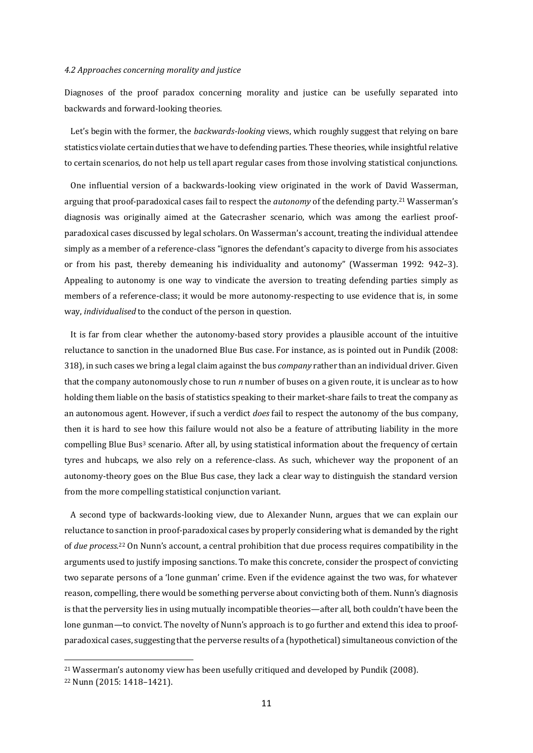#### *4.2 Approaches concerning morality and justice*

Diagnoses of the proof paradox concerning morality and justice can be usefully separated into backwards and forward-looking theories.

Let's begin with the former, the *backwards-looking* views, which roughly suggest that relying on bare statistics violate certain duties that we have to defending parties. These theories, while insightful relative to certain scenarios, do not help us tell apart regular cases from those involving statistical conjunctions.

One influential version of a backwards-looking view originated in the work of David Wasserman, arguing that proof-paradoxical cases fail to respect the *autonomy* of the defending party.<sup>21</sup> Wasserman's diagnosis was originally aimed at the Gatecrasher scenario, which was among the earliest proofparadoxical cases discussed by legal scholars. On Wasserman's account, treating the individual attendee simply as a member of a reference-class "ignores the defendant's capacity to diverge from his associates or from his past, thereby demeaning his individuality and autonomy" (Wasserman 1992: 942–3). Appealing to autonomy is one way to vindicate the aversion to treating defending parties simply as members of a reference-class; it would be more autonomy-respecting to use evidence that is, in some way, *individualised* to the conduct of the person in question.

It is far from clear whether the autonomy-based story provides a plausible account of the intuitive reluctance to sanction in the unadorned Blue Bus case. For instance, as is pointed out in Pundik (2008: 318), in such cases we bring a legal claim against the bus *company* rather than an individual driver. Given that the company autonomously chose to run *n* number of buses on a given route, it is unclear as to how holding them liable on the basis of statistics speaking to their market-share fails to treat the company as an autonomous agent. However, if such a verdict *does* fail to respect the autonomy of the bus company, then it is hard to see how this failure would not also be a feature of attributing liability in the more compelling Blue Bus<sup>3</sup> scenario. After all, by using statistical information about the frequency of certain tyres and hubcaps, we also rely on a reference-class. As such, whichever way the proponent of an autonomy-theory goes on the Blue Bus case, they lack a clear way to distinguish the standard version from the more compelling statistical conjunction variant.

A second type of backwards-looking view, due to Alexander Nunn, argues that we can explain our reluctance to sanction in proof-paradoxical cases by properly considering what is demanded by the right of *due process.*<sup>22</sup> On Nunn's account, a central prohibition that due process requires compatibility in the arguments used to justify imposing sanctions. To make this concrete, consider the prospect of convicting two separate persons of a 'lone gunman' crime. Even if the evidence against the two was, for whatever reason, compelling, there would be something perverse about convicting both of them. Nunn's diagnosis is that the perversity lies in using mutually incompatible theories—after all, both couldn't have been the lone gunman—to convict. The novelty of Nunn's approach is to go further and extend this idea to proofparadoxical cases, suggesting that the perverse results of a (hypothetical) simultaneous conviction of the

<sup>21</sup> Wasserman's autonomy view has been usefully critiqued and developed by Pundik (2008).

<sup>22</sup> Nunn (2015: 1418–1421).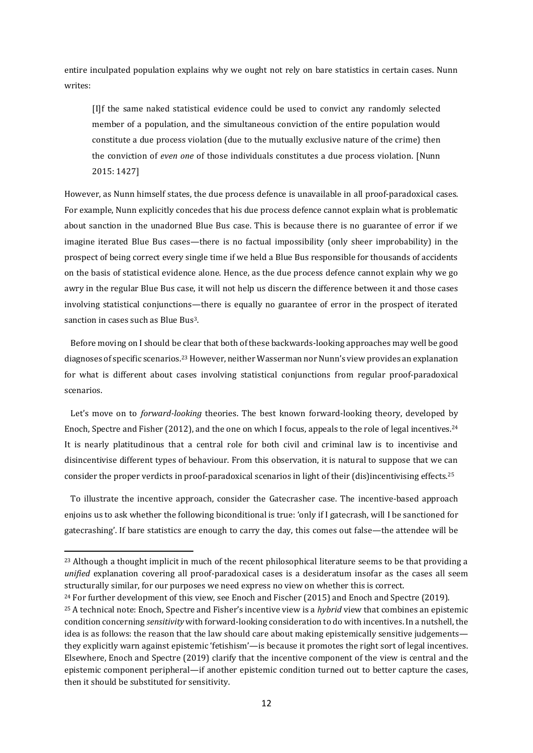entire inculpated population explains why we ought not rely on bare statistics in certain cases. Nunn writes:

[I]f the same naked statistical evidence could be used to convict any randomly selected member of a population, and the simultaneous conviction of the entire population would constitute a due process violation (due to the mutually exclusive nature of the crime) then the conviction of *even one* of those individuals constitutes a due process violation. [Nunn 2015: 1427]

However, as Nunn himself states, the due process defence is unavailable in all proof-paradoxical cases. For example, Nunn explicitly concedes that his due process defence cannot explain what is problematic about sanction in the unadorned Blue Bus case. This is because there is no guarantee of error if we imagine iterated Blue Bus cases—there is no factual impossibility (only sheer improbability) in the prospect of being correct every single time if we held a Blue Bus responsible for thousands of accidents on the basis of statistical evidence alone. Hence, as the due process defence cannot explain why we go awry in the regular Blue Bus case, it will not help us discern the difference between it and those cases involving statistical conjunctions—there is equally no guarantee of error in the prospect of iterated sanction in cases such as Blue Bus3.

Before moving on I should be clear that both of these backwards-looking approaches may well be good diagnoses of specific scenarios.23However, neither Wasserman nor Nunn's view provides an explanation for what is different about cases involving statistical conjunctions from regular proof-paradoxical scenarios.

Let's move on to *forward-looking* theories. The best known forward-looking theory, developed by Enoch, Spectre and Fisher (2012), and the one on which I focus, appeals to the role of legal incentives.<sup>24</sup> It is nearly platitudinous that a central role for both civil and criminal law is to incentivise and disincentivise different types of behaviour. From this observation, it is natural to suppose that we can consider the proper verdicts in proof-paradoxical scenarios in light of their (dis)incentivising effects.<sup>25</sup>

To illustrate the incentive approach, consider the Gatecrasher case. The incentive-based approach enjoins us to ask whether the following biconditional is true: 'only if I gatecrash, will I be sanctioned for gatecrashing'. If bare statistics are enough to carry the day, this comes out false—the attendee will be

<sup>&</sup>lt;sup>23</sup> Although a thought implicit in much of the recent philosophical literature seems to be that providing a *unified* explanation covering all proof-paradoxical cases is a desideratum insofar as the cases all seem structurally similar, for our purposes we need express no view on whether this is correct.

<sup>24</sup> For further development of this view, see Enoch and Fischer (2015) and Enoch and Spectre (2019).

<sup>25</sup> A technical note: Enoch, Spectre and Fisher's incentive view is a *hybrid* view that combines an epistemic condition concerning *sensitivity* with forward-looking consideration to do with incentives. In a nutshell, the idea is as follows: the reason that the law should care about making epistemically sensitive judgements they explicitly warn against epistemic 'fetishism'—is because it promotes the right sort of legal incentives. Elsewhere, Enoch and Spectre (2019) clarify that the incentive component of the view is central and the epistemic component peripheral—if another epistemic condition turned out to better capture the cases, then it should be substituted for sensitivity.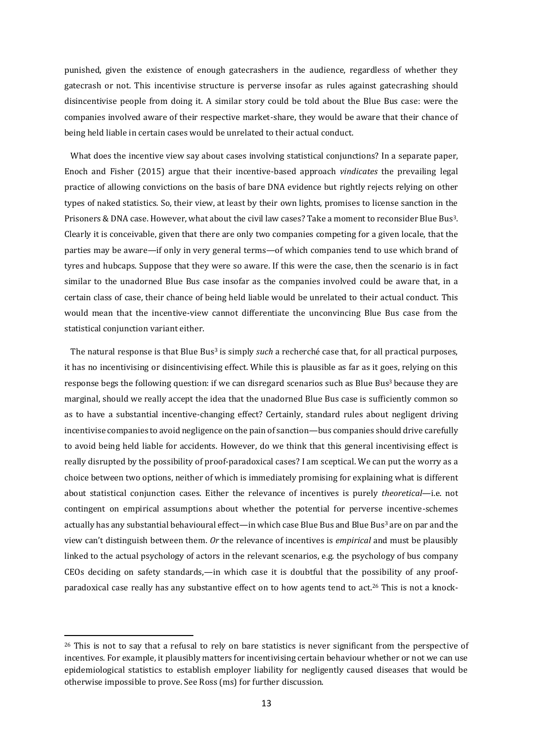punished, given the existence of enough gatecrashers in the audience, regardless of whether they gatecrash or not. This incentivise structure is perverse insofar as rules against gatecrashing should disincentivise people from doing it. A similar story could be told about the Blue Bus case: were the companies involved aware of their respective market-share, they would be aware that their chance of being held liable in certain cases would be unrelated to their actual conduct.

What does the incentive view say about cases involving statistical conjunctions? In a separate paper, Enoch and Fisher (2015) argue that their incentive-based approach *vindicates* the prevailing legal practice of allowing convictions on the basis of bare DNA evidence but rightly rejects relying on other types of naked statistics. So, their view, at least by their own lights, promises to license sanction in the Prisoners & DNA case. However, what about the civil law cases? Take a moment to reconsider Blue Bus3. Clearly it is conceivable, given that there are only two companies competing for a given locale, that the parties may be aware—if only in very general terms—of which companies tend to use which brand of tyres and hubcaps. Suppose that they were so aware. If this were the case, then the scenario is in fact similar to the unadorned Blue Bus case insofar as the companies involved could be aware that, in a certain class of case, their chance of being held liable would be unrelated to their actual conduct. This would mean that the incentive-view cannot differentiate the unconvincing Blue Bus case from the statistical conjunction variant either.

The natural response is that Blue Bus<sup>3</sup> is simply *such* a recherché case that, for all practical purposes, it has no incentivising or disincentivising effect. While this is plausible as far as it goes, relying on this response begs the following question: if we can disregard scenarios such as Blue Bus<sup>3</sup> because they are marginal, should we really accept the idea that the unadorned Blue Bus case is sufficiently common so as to have a substantial incentive-changing effect? Certainly, standard rules about negligent driving incentivise companies to avoid negligence on the pain of sanction—bus companies should drive carefully to avoid being held liable for accidents. However, do we think that this general incentivising effect is really disrupted by the possibility of proof-paradoxical cases? I am sceptical. We can put the worry as a choice between two options, neither of which is immediately promising for explaining what is different about statistical conjunction cases. Either the relevance of incentives is purely *theoretical*—i.e. not contingent on empirical assumptions about whether the potential for perverse incentive-schemes actually has any substantial behavioural effect—in which case Blue Bus and Blue Bus<sup>3</sup> are on par and the view can't distinguish between them. *Or* the relevance of incentives is *empirical* and must be plausibly linked to the actual psychology of actors in the relevant scenarios, e.g. the psychology of bus company CEOs deciding on safety standards,—in which case it is doubtful that the possibility of any proofparadoxical case really has any substantive effect on to how agents tend to act.<sup>26</sup> This is not a knock-

<sup>&</sup>lt;sup>26</sup> This is not to say that a refusal to rely on bare statistics is never significant from the perspective of incentives. For example, it plausibly matters for incentivising certain behaviour whether or not we can use epidemiological statistics to establish employer liability for negligently caused diseases that would be otherwise impossible to prove. See Ross (ms) for further discussion.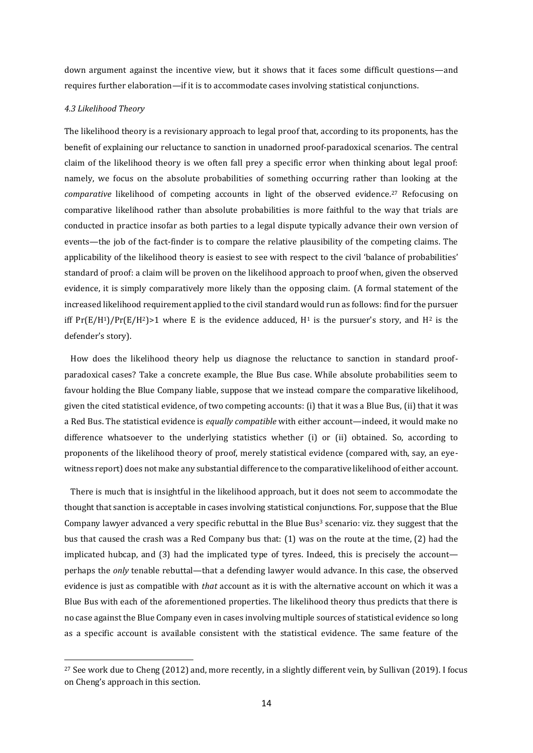down argument against the incentive view, but it shows that it faces some difficult questions—and requires further elaboration—if it is to accommodate cases involving statistical conjunctions.

#### *4.3 Likelihood Theory*

The likelihood theory is a revisionary approach to legal proof that, according to its proponents, has the benefit of explaining our reluctance to sanction in unadorned proof-paradoxical scenarios. The central claim of the likelihood theory is we often fall prey a specific error when thinking about legal proof: namely, we focus on the absolute probabilities of something occurring rather than looking at the *comparative* likelihood of competing accounts in light of the observed evidence. <sup>27</sup> Refocusing on comparative likelihood rather than absolute probabilities is more faithful to the way that trials are conducted in practice insofar as both parties to a legal dispute typically advance their own version of events—the job of the fact-finder is to compare the relative plausibility of the competing claims. The applicability of the likelihood theory is easiest to see with respect to the civil 'balance of probabilities' standard of proof: a claim will be proven on the likelihood approach to proof when, given the observed evidence, it is simply comparatively more likely than the opposing claim. (A formal statement of the increased likelihood requirement applied to the civil standard would run as follows: find for the pursuer iff  $Pr(E/H^1)/Pr(E/H^2)$  where E is the evidence adduced,  $H^1$  is the pursuer's story, and  $H^2$  is the defender's story).

How does the likelihood theory help us diagnose the reluctance to sanction in standard proofparadoxical cases? Take a concrete example, the Blue Bus case. While absolute probabilities seem to favour holding the Blue Company liable, suppose that we instead compare the comparative likelihood, given the cited statistical evidence, of two competing accounts: (i) that it was a Blue Bus, (ii) that it was a Red Bus. The statistical evidence is *equally compatible* with either account—indeed, it would make no difference whatsoever to the underlying statistics whether (i) or (ii) obtained. So, according to proponents of the likelihood theory of proof, merely statistical evidence (compared with, say, an eyewitness report) does not make any substantial difference to the comparative likelihood of either account.

There is much that is insightful in the likelihood approach, but it does not seem to accommodate the thought that sanction is acceptable in cases involving statistical conjunctions. For, suppose that the Blue Company lawyer advanced a very specific rebuttal in the Blue Bus<sup>3</sup> scenario: viz. they suggest that the bus that caused the crash was a Red Company bus that: (1) was on the route at the time, (2) had the implicated hubcap, and (3) had the implicated type of tyres. Indeed, this is precisely the account perhaps the *only* tenable rebuttal—that a defending lawyer would advance. In this case, the observed evidence is just as compatible with *that* account as it is with the alternative account on which it was a Blue Bus with each of the aforementioned properties. The likelihood theory thus predicts that there is no case against the Blue Company even in cases involving multiple sources of statistical evidence so long as a specific account is available consistent with the statistical evidence. The same feature of the

<sup>27</sup> See work due to Cheng (2012) and, more recently, in a slightly different vein, by Sullivan (2019). I focus on Cheng's approach in this section.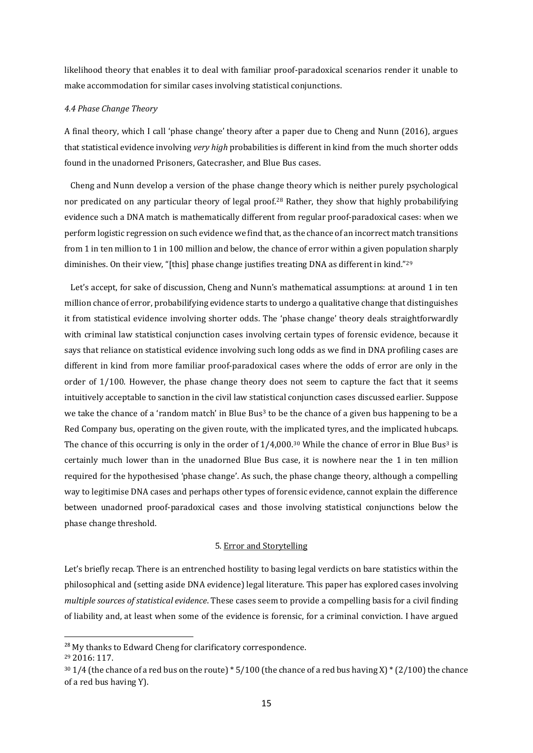likelihood theory that enables it to deal with familiar proof-paradoxical scenarios render it unable to make accommodation for similar cases involving statistical conjunctions.

#### *4.4 Phase Change Theory*

A final theory, which I call 'phase change' theory after a paper due to Cheng and Nunn (2016), argues that statistical evidence involving *very high* probabilities is different in kind from the much shorter odds found in the unadorned Prisoners, Gatecrasher, and Blue Bus cases.

Cheng and Nunn develop a version of the phase change theory which is neither purely psychological nor predicated on any particular theory of legal proof.<sup>28</sup> Rather, they show that highly probabilifying evidence such a DNA match is mathematically different from regular proof-paradoxical cases: when we perform logistic regression on such evidence we find that, as the chance of an incorrect match transitions from 1 in ten million to 1 in 100 million and below, the chance of error within a given population sharply diminishes. On their view, "[this] phase change justifies treating DNA as different in kind."<sup>29</sup>

Let's accept, for sake of discussion, Cheng and Nunn's mathematical assumptions: at around 1 in ten million chance of error, probabilifying evidence starts to undergo a qualitative change that distinguishes it from statistical evidence involving shorter odds. The 'phase change' theory deals straightforwardly with criminal law statistical conjunction cases involving certain types of forensic evidence, because it says that reliance on statistical evidence involving such long odds as we find in DNA profiling cases are different in kind from more familiar proof-paradoxical cases where the odds of error are only in the order of 1/100. However, the phase change theory does not seem to capture the fact that it seems intuitively acceptable to sanction in the civil law statistical conjunction cases discussed earlier. Suppose we take the chance of a 'random match' in Blue Bus<sup>3</sup> to be the chance of a given bus happening to be a Red Company bus, operating on the given route, with the implicated tyres, and the implicated hubcaps. The chance of this occurring is only in the order of  $1/4,000$ .<sup>30</sup> While the chance of error in Blue Bus<sup>3</sup> is certainly much lower than in the unadorned Blue Bus case, it is nowhere near the 1 in ten million required for the hypothesised 'phase change'. As such, the phase change theory, although a compelling way to legitimise DNA cases and perhaps other types of forensic evidence, cannot explain the difference between unadorned proof-paradoxical cases and those involving statistical conjunctions below the phase change threshold.

## 5. Error and Storytelling

Let's briefly recap. There is an entrenched hostility to basing legal verdicts on bare statistics within the philosophical and (setting aside DNA evidence) legal literature. This paper has explored cases involving *multiple sources of statistical evidence*. These cases seem to provide a compelling basis for a civil finding of liability and, at least when some of the evidence is forensic, for a criminal conviction. I have argued

<sup>&</sup>lt;sup>28</sup> My thanks to Edward Cheng for clarificatory correspondence.

<sup>29</sup> 2016: 117.

 $301/4$  (the chance of a red bus on the route) \* 5/100 (the chance of a red bus having X) \* (2/100) the chance of a red bus having Y).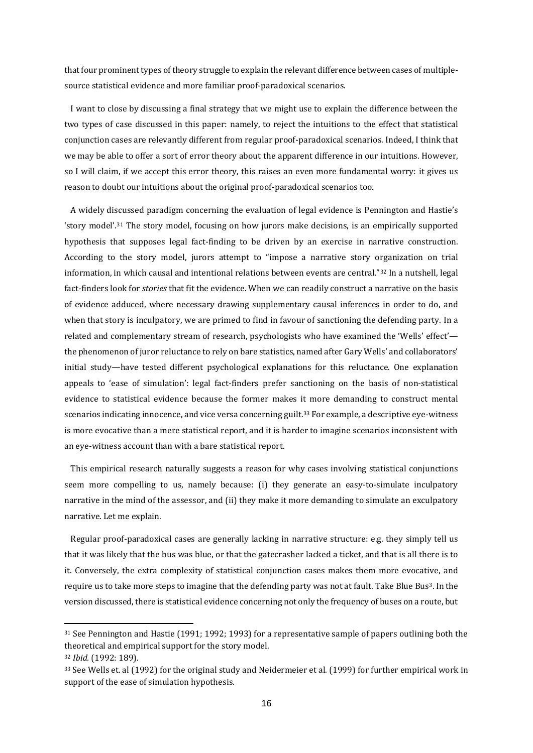that four prominent types of theory struggle to explain the relevant difference between cases of multiplesource statistical evidence and more familiar proof-paradoxical scenarios.

I want to close by discussing a final strategy that we might use to explain the difference between the two types of case discussed in this paper: namely, to reject the intuitions to the effect that statistical conjunction cases are relevantly different from regular proof-paradoxical scenarios. Indeed, I think that we may be able to offer a sort of error theory about the apparent difference in our intuitions. However, so I will claim, if we accept this error theory, this raises an even more fundamental worry: it gives us reason to doubt our intuitions about the original proof-paradoxical scenarios too.

A widely discussed paradigm concerning the evaluation of legal evidence is Pennington and Hastie's 'story model'.<sup>31</sup> The story model, focusing on how jurors make decisions, is an empirically supported hypothesis that supposes legal fact-finding to be driven by an exercise in narrative construction. According to the story model, jurors attempt to "impose a narrative story organization on trial information, in which causal and intentional relations between events are central."<sup>32</sup> In a nutshell, legal fact-finders look for *stories* that fit the evidence. When we can readily construct a narrative on the basis of evidence adduced, where necessary drawing supplementary causal inferences in order to do, and when that story is inculpatory, we are primed to find in favour of sanctioning the defending party. In a related and complementary stream of research, psychologists who have examined the 'Wells' effect' the phenomenon of juror reluctance to rely on bare statistics, named after Gary Wells' and collaborators' initial study—have tested different psychological explanations for this reluctance. One explanation appeals to 'ease of simulation': legal fact-finders prefer sanctioning on the basis of non-statistical evidence to statistical evidence because the former makes it more demanding to construct mental scenarios indicating innocence, and vice versa concerning guilt.<sup>33</sup> For example, a descriptive eye-witness is more evocative than a mere statistical report, and it is harder to imagine scenarios inconsistent with an eye-witness account than with a bare statistical report.

This empirical research naturally suggests a reason for why cases involving statistical conjunctions seem more compelling to us, namely because: (i) they generate an easy-to-simulate inculpatory narrative in the mind of the assessor, and (ii) they make it more demanding to simulate an exculpatory narrative. Let me explain.

Regular proof-paradoxical cases are generally lacking in narrative structure: e.g. they simply tell us that it was likely that the bus was blue, or that the gatecrasher lacked a ticket, and that is all there is to it. Conversely, the extra complexity of statistical conjunction cases makes them more evocative, and require us to take more steps to imagine that the defending party was not at fault. Take Blue Bus3. In the version discussed, there is statistical evidence concerning not only the frequency of buses on a route, but

<sup>&</sup>lt;sup>31</sup> See Pennington and Hastie (1991; 1992; 1993) for a representative sample of papers outlining both the theoretical and empirical support for the story model.

<sup>32</sup> *Ibid.* (1992: 189).

<sup>33</sup> See Wells et. al (1992) for the original study and Neidermeier et al. (1999) for further empirical work in support of the ease of simulation hypothesis.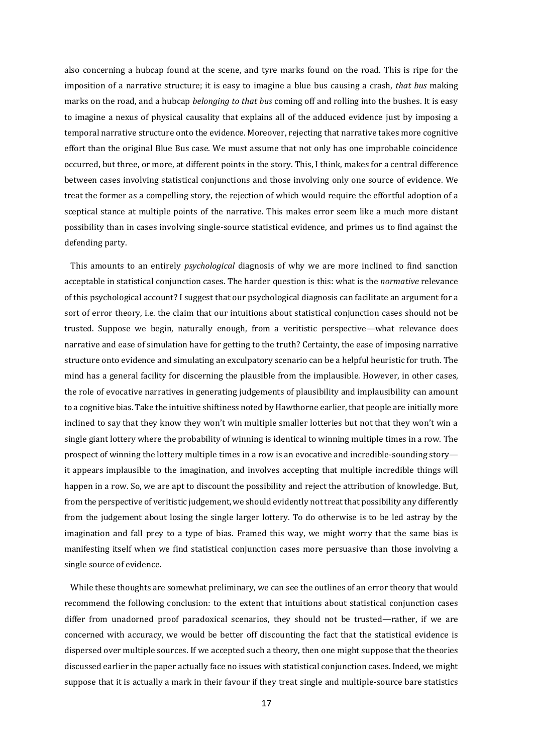also concerning a hubcap found at the scene, and tyre marks found on the road. This is ripe for the imposition of a narrative structure; it is easy to imagine a blue bus causing a crash, *that bus* making marks on the road, and a hubcap *belonging to that bus* coming off and rolling into the bushes. It is easy to imagine a nexus of physical causality that explains all of the adduced evidence just by imposing a temporal narrative structure onto the evidence. Moreover, rejecting that narrative takes more cognitive effort than the original Blue Bus case. We must assume that not only has one improbable coincidence occurred, but three, or more, at different points in the story. This, I think, makes for a central difference between cases involving statistical conjunctions and those involving only one source of evidence. We treat the former as a compelling story, the rejection of which would require the effortful adoption of a sceptical stance at multiple points of the narrative. This makes error seem like a much more distant possibility than in cases involving single-source statistical evidence, and primes us to find against the defending party.

This amounts to an entirely *psychological* diagnosis of why we are more inclined to find sanction acceptable in statistical conjunction cases. The harder question is this: what is the *normative* relevance of this psychological account? I suggest that our psychological diagnosis can facilitate an argument for a sort of error theory, i.e. the claim that our intuitions about statistical conjunction cases should not be trusted. Suppose we begin, naturally enough, from a veritistic perspective—what relevance does narrative and ease of simulation have for getting to the truth? Certainty, the ease of imposing narrative structure onto evidence and simulating an exculpatory scenario can be a helpful heuristic for truth. The mind has a general facility for discerning the plausible from the implausible. However, in other cases, the role of evocative narratives in generating judgements of plausibility and implausibility can amount to a cognitive bias. Take the intuitive shiftiness noted by Hawthorne earlier, that people are initially more inclined to say that they know they won't win multiple smaller lotteries but not that they won't win a single giant lottery where the probability of winning is identical to winning multiple times in a row. The prospect of winning the lottery multiple times in a row is an evocative and incredible-sounding story it appears implausible to the imagination, and involves accepting that multiple incredible things will happen in a row. So, we are apt to discount the possibility and reject the attribution of knowledge. But, from the perspective of veritistic judgement, we should evidently not treat that possibility any differently from the judgement about losing the single larger lottery. To do otherwise is to be led astray by the imagination and fall prey to a type of bias. Framed this way, we might worry that the same bias is manifesting itself when we find statistical conjunction cases more persuasive than those involving a single source of evidence.

While these thoughts are somewhat preliminary, we can see the outlines of an error theory that would recommend the following conclusion: to the extent that intuitions about statistical conjunction cases differ from unadorned proof paradoxical scenarios, they should not be trusted—rather, if we are concerned with accuracy, we would be better off discounting the fact that the statistical evidence is dispersed over multiple sources. If we accepted such a theory, then one might suppose that the theories discussed earlier in the paper actually face no issues with statistical conjunction cases. Indeed, we might suppose that it is actually a mark in their favour if they treat single and multiple-source bare statistics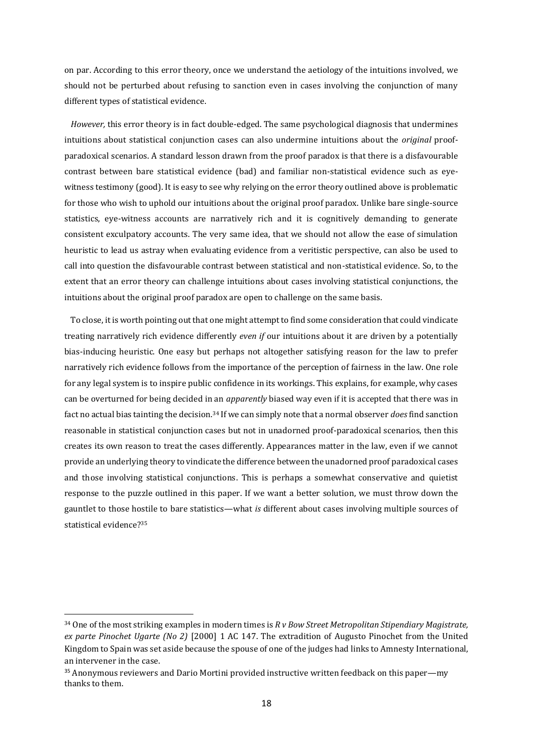on par. According to this error theory, once we understand the aetiology of the intuitions involved, we should not be perturbed about refusing to sanction even in cases involving the conjunction of many different types of statistical evidence.

*However,* this error theory is in fact double-edged. The same psychological diagnosis that undermines intuitions about statistical conjunction cases can also undermine intuitions about the *original* proofparadoxical scenarios. A standard lesson drawn from the proof paradox is that there is a disfavourable contrast between bare statistical evidence (bad) and familiar non-statistical evidence such as eyewitness testimony (good). It is easy to see why relying on the error theory outlined above is problematic for those who wish to uphold our intuitions about the original proof paradox. Unlike bare single-source statistics, eye-witness accounts are narratively rich and it is cognitively demanding to generate consistent exculpatory accounts. The very same idea, that we should not allow the ease of simulation heuristic to lead us astray when evaluating evidence from a veritistic perspective, can also be used to call into question the disfavourable contrast between statistical and non-statistical evidence. So, to the extent that an error theory can challenge intuitions about cases involving statistical conjunctions, the intuitions about the original proof paradox are open to challenge on the same basis.

To close, it is worth pointing out that one might attempt to find some consideration that could vindicate treating narratively rich evidence differently *even if* our intuitions about it are driven by a potentially bias-inducing heuristic. One easy but perhaps not altogether satisfying reason for the law to prefer narratively rich evidence follows from the importance of the perception of fairness in the law. One role for any legal system is to inspire public confidence in its workings. This explains, for example, why cases can be overturned for being decided in an *apparently* biased way even if it is accepted that there was in fact no actual bias tainting the decision. <sup>34</sup> If we can simply note that a normal observer *does*find sanction reasonable in statistical conjunction cases but not in unadorned proof-paradoxical scenarios, then this creates its own reason to treat the cases differently. Appearances matter in the law, even if we cannot provide an underlying theory to vindicate the difference between the unadorned proof paradoxical cases and those involving statistical conjunctions. This is perhaps a somewhat conservative and quietist response to the puzzle outlined in this paper. If we want a better solution, we must throw down the gauntlet to those hostile to bare statistics—what *is* different about cases involving multiple sources of statistical evidence?<sup>35</sup>

<sup>34</sup> One of the most striking examples in modern times is *R v Bow Street Metropolitan Stipendiary Magistrate, ex parte Pinochet Ugarte (No 2)* [2000] 1 AC 147. The extradition of Augusto Pinochet from the United Kingdom to Spain was set aside because the spouse of one of the judges had links to Amnesty International, an intervener in the case.

<sup>&</sup>lt;sup>35</sup> Anonymous reviewers and Dario Mortini provided instructive written feedback on this paper—my thanks to them.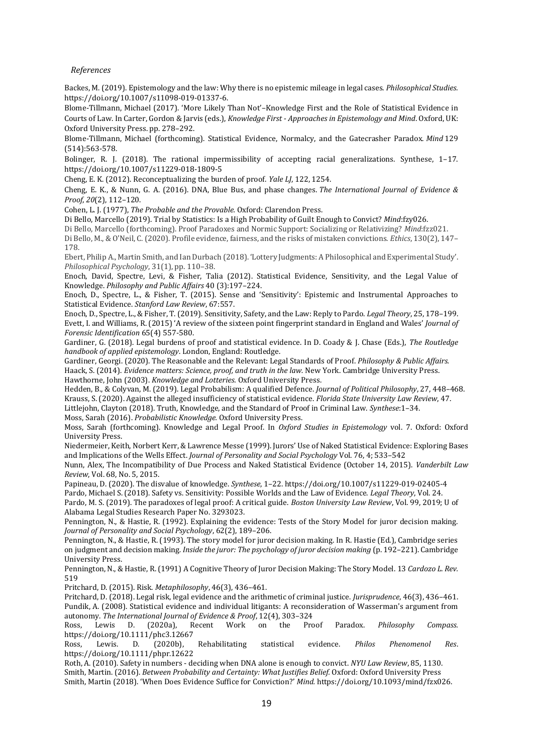*References* 

Backes, M. (2019). Epistemology and the law: Why there is no epistemic mileage in legal cases. *Philosophical Studies.* https://doi.org/10.1007/s11098-019-01337-6.

Blome-Tillmann, Michael (2017). 'More Likely Than Not'–Knowledge First and the Role of Statistical Evidence in Courts of Law. In Carter, Gordon & Jarvis (eds.), *Knowledge First - Approaches in Epistemology and Mind*. Oxford, UK: Oxford University Press. pp. 278–292.

Blome-Tillmann, Michael (forthcoming). Statistical Evidence, Normalcy, and the Gatecrasher Paradox. *Mind* 129 (514):563-578.

Bolinger, R. J. (2018). The rational impermissibility of accepting racial generalizations. Synthese, 1–17. https://doi.org/10.1007/s11229-018-1809-5

Cheng, E. K. (2012). Reconceptualizing the burden of proof. *Yale LJ*, 122, 1254.

Cheng, E. K., & Nunn, G. A. (2016). DNA, Blue Bus, and phase changes. *The International Journal of Evidence & Proof*, *20*(2), 112–120.

Cohen, L. J. (1977), *The Probable and the Provable.* Oxford: Clarendon Press.

Di Bello, Marcello (2019). Trial by Statistics: Is a High Probability of Guilt Enough to Convict? *Mind*:fzy026.

Di Bello, Marcello (forthcoming). Proof Paradoxes and Normic Support: Socializing or Relativizing? *Mind*:fzz021. Di Bello, M., & O'Neil, C. (2020). Profile evidence, fairness, and the risks of mistaken convictions. *Ethics*, 130(2), 147–

178.

Ebert, Philip A., Martin Smith, and Ian Durbach (2018). 'Lottery Judgments: A Philosophical and Experimental Study'. *Philosophical Psychology*, 31(1), pp. 110–38.

Enoch, David, Spectre, Levi, & Fisher, Talia (2012). Statistical Evidence, Sensitivity, and the Legal Value of Knowledge. *Philosophy and Public Affairs* 40 (3):197–224.

Enoch, D., Spectre, L., & Fisher, T. (2015). Sense and 'Sensitivity': Epistemic and Instrumental Approaches to Statistical Evidence. *Stanford Law Review*, 67:557.

Enoch, D., Spectre, L., & Fisher, T. (2019). Sensitivity, Safety, and the Law: Reply to Pardo. *Legal Theory*, 25, 178–199. Evett, I. and Williams, R. (2015) 'A review of the sixteen point fingerprint standard in England and Wales' *Journal of Forensic Identification* 65(4) 557-580.

Gardiner, G. (2018). Legal burdens of proof and statistical evidence. In D. Coady & J. Chase (Eds.), *The Routledge handbook of applied epistemology*. London, England: Routledge.

Gardiner, Georgi. (2020). The Reasonable and the Relevant: Legal Standards of Proof. *Philosophy & Public Affairs.* Haack, S. (2014). *Evidence matters: Science, proof, and truth in the law.* New York. Cambridge University Press. Hawthorne, John (2003). *Knowledge and Lotteries.* Oxford University Press.

Hedden, B., & Colyvan, M. (2019). Legal Probabilism: A qualified Defence. *Journal of Political Philosophy*, 27, 448–468. Krauss, S. (2020). Against the alleged insufficiency of statistical evidence. *Florida State University Law Review*, 47.

Littlejohn, Clayton (2018). Truth, Knowledge, and the Standard of Proof in Criminal Law. *Synthese*:1–34.

Moss, Sarah (2016). *Probabilistic Knowledge.* Oxford University Press.

Moss, Sarah (forthcoming). Knowledge and Legal Proof. In *Oxford Studies in Epistemology* vol. 7. Oxford: Oxford University Press.

Niedermeier, Keith, Norbert Kerr, & Lawrence Messe (1999). Jurors' Use of Naked Statistical Evidence: Exploring Bases and Implications of the Wells Effect. *Journal of Personality and Social Psychology* Vol. 76, 4; 533–542

Nunn, Alex, The Incompatibility of Due Process and Naked Statistical Evidence (October 14, 2015). *Vanderbilt Law Review*, Vol. 68, No. 5, 2015.

Papineau, D. (2020). The disvalue of knowledge. *Synthese*, 1–22. https://doi.org/10.1007/s11229-019-02405-4 Pardo, Michael S. (2018). Safety vs. Sensitivity: Possible Worlds and the Law of Evidence. *Legal Theory*, Vol. 24. Pardo, M. S. (2019). The paradoxes of legal proof: A critical guide. *Boston University Law Review*, Vol. 99, 2019; U of Alabama Legal Studies Research Paper No. 3293023.

Pennington, N., & Hastie, R. (1992). Explaining the evidence: Tests of the Story Model for juror decision making. *Journal of Personality and Social Psychology*, 62(2), 189–206.

Pennington, N., & Hastie, R. (1993). The story model for juror decision making. In R. Hastie (Ed.), Cambridge series on judgment and decision making*. Inside the juror: The psychology of juror decision making* (p. 192–221). Cambridge University Press.

Pennington, N., & Hastie, R. (1991) A Cognitive Theory of Juror Decision Making: The Story Model. 13 *Cardozo L. Rev.* 519

Pritchard, D. (2015). Risk. *Metaphilosophy*, 46(3), 436–461.

Pritchard, D. (2018). Legal risk, legal evidence and the arithmetic of criminal justice. *Jurisprudence*, 46(3), 436–461. Pundik, A. (2008). Statistical evidence and individual litigants: A reconsideration of Wasserman's argument from autonomy. *The International Journal of Evidence & Proof*, 12(4), 303–324

Ross, Lewis D. (2020a), Recent Work on the Proof Paradox. *Philosophy Compass.*  https://doi.org/10.1111/phc3.12667

Ross, Lewis. D. (2020b), Rehabilitating statistical evidence. *Philos Phenomenol Res*. https://doi.org/10.1111/phpr.12622

Roth, A. (2010). Safety in numbers - deciding when DNA alone is enough to convict. *NYU Law Review*, 85, 1130. Smith, Martin. (2016). *Between Probability and Certainty: What Justifies Belief.* Oxford: Oxford University Press Smith, Martin (2018). 'When Does Evidence Suffice for Conviction?' *Mind.* https://doi.org/10.1093/mind/fzx026.